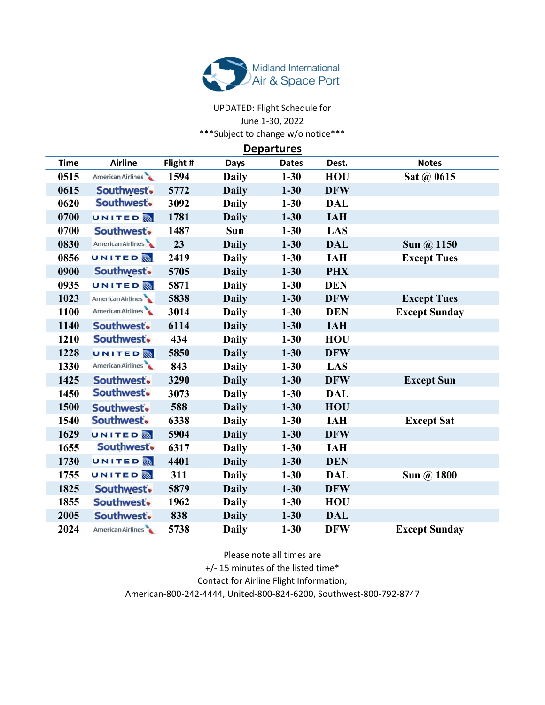

## UPDATED: Flight Schedule for June 1-30, 2022 \*\*\*Subject to change w/o notice\*\*\*

**Departures** 

| <b>Airline</b>    | Flight # | <b>Days</b>  | <b>Dates</b> | Dest.      | <b>Notes</b>         |
|-------------------|----------|--------------|--------------|------------|----------------------|
| American Airlines | 1594     | <b>Daily</b> | $1 - 30$     | <b>HOU</b> | Sat @ 0615           |
| Southwest.        | 5772     | <b>Daily</b> | $1 - 30$     | <b>DFW</b> |                      |
| Southwest.        | 3092     | <b>Daily</b> | $1 - 30$     | <b>DAL</b> |                      |
| <b>UNITED</b>     | 1781     | <b>Daily</b> | $1 - 30$     | <b>IAH</b> |                      |
| Southwest.        | 1487     | Sun          | $1 - 30$     | LAS        |                      |
| American Airlines | 23       | <b>Daily</b> | $1 - 30$     | <b>DAL</b> | Sun @ 1150           |
| <b>UNITED</b>     | 2419     | <b>Daily</b> | $1 - 30$     | <b>IAH</b> | <b>Except Tues</b>   |
| Southwest.        | 5705     | <b>Daily</b> | $1 - 30$     | <b>PHX</b> |                      |
| <b>UNITED</b>     | 5871     | <b>Daily</b> | $1 - 30$     | <b>DEN</b> |                      |
| American Airlines | 5838     | <b>Daily</b> | $1 - 30$     | <b>DFW</b> | <b>Except Tues</b>   |
| American Airlines | 3014     | <b>Daily</b> | $1 - 30$     | <b>DEN</b> | <b>Except Sunday</b> |
| Southwest.        | 6114     | <b>Daily</b> | $1 - 30$     | <b>IAH</b> |                      |
| Southwest.        | 434      | <b>Daily</b> | $1 - 30$     | <b>HOU</b> |                      |
| <b>UNITED</b>     | 5850     | <b>Daily</b> | $1 - 30$     | <b>DFW</b> |                      |
| American Airlines | 843      | <b>Daily</b> | $1 - 30$     | LAS        |                      |
| Southwest.        | 3290     | <b>Daily</b> | $1 - 30$     | <b>DFW</b> | <b>Except Sun</b>    |
| Southwest.        | 3073     | <b>Daily</b> | $1 - 30$     | <b>DAL</b> |                      |
| Southwest.        | 588      | <b>Daily</b> | $1 - 30$     | HOU        |                      |
| Southwest.        | 6338     | <b>Daily</b> | $1 - 30$     | <b>IAH</b> | <b>Except Sat</b>    |
| <b>UNITED</b>     | 5904     | <b>Daily</b> | $1 - 30$     | <b>DFW</b> |                      |
| Southwest.        | 6317     | <b>Daily</b> | $1 - 30$     | <b>IAH</b> |                      |
| <b>UNITED</b>     | 4401     | <b>Daily</b> | $1 - 30$     | <b>DEN</b> |                      |
| <b>UNITED</b>     | 311      | <b>Daily</b> | $1 - 30$     | <b>DAL</b> | Sun @ 1800           |
| Southwest.        | 5879     | <b>Daily</b> | $1 - 30$     | <b>DFW</b> |                      |
| Southwest.        | 1962     | <b>Daily</b> | $1 - 30$     | <b>HOU</b> |                      |
| Southwest.        | 838      | <b>Daily</b> | $1 - 30$     | <b>DAL</b> |                      |
| American Airlines | 5738     | <b>Daily</b> | $1 - 30$     | <b>DFW</b> | <b>Except Sunday</b> |
|                   |          |              |              |            |                      |

Please note all times are +/- 15 minutes of the listed time\* Contact for Airline Flight Information; American-800-242-4444, United-800-824-6200, Southwest-800-792-8747